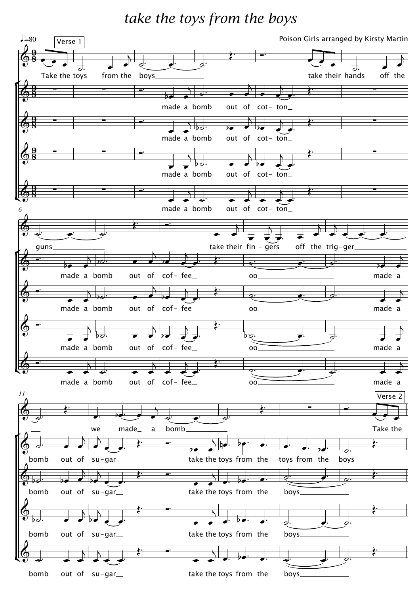take the toys from the boys

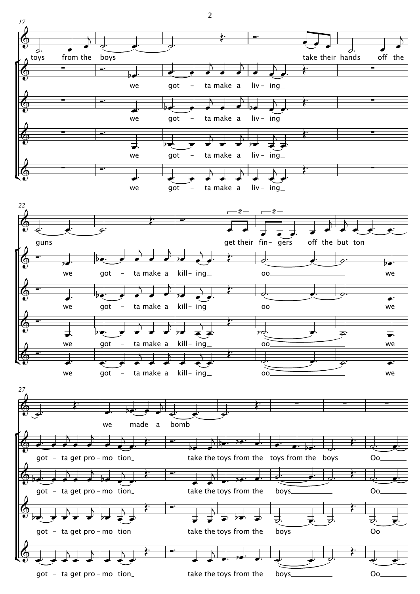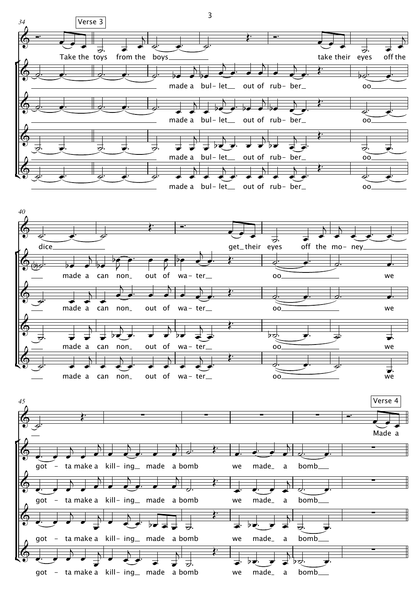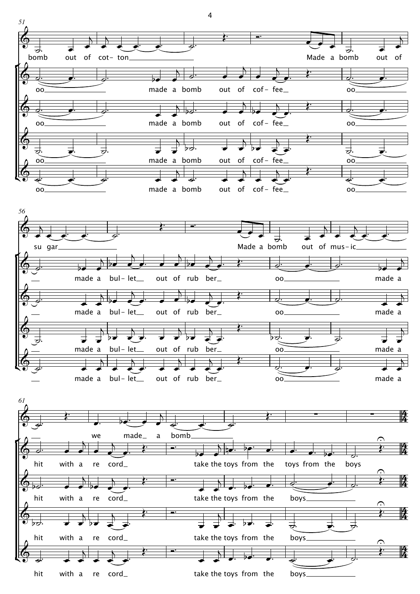